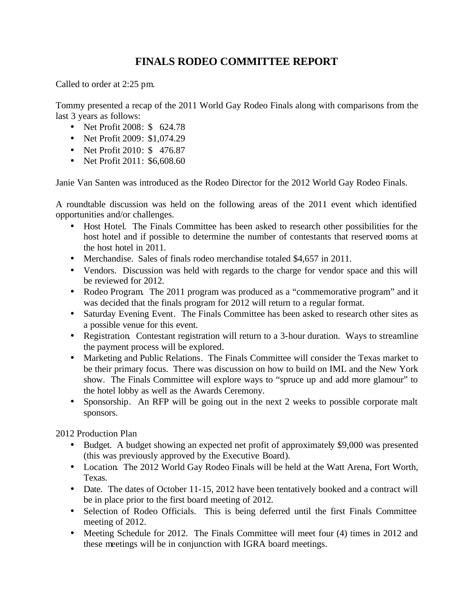## **FINALS RODEO COMMITTEE REPORT**

Called to order at 2:25 pm.

Tommy presented a recap of the 2011 World Gay Rodeo Finals along with comparisons from the last 3 years as follows:

- Net Profit 2008: \$ 624.78
- Net Profit 2009: \$1,074.29
- Net Profit 2010: \$476.87
- Net Profit 2011: \$6,608.60

Janie Van Santen was introduced as the Rodeo Director for the 2012 World Gay Rodeo Finals.

A roundtable discussion was held on the following areas of the 2011 event which identified opportunities and/or challenges.

- Host Hotel. The Finals Committee has been asked to research other possibilities for the host hotel and if possible to determine the number of contestants that reserved rooms at the host hotel in 2011.
- Merchandise. Sales of finals rodeo merchandise totaled \$4,657 in 2011.
- Vendors. Discussion was held with regards to the charge for vendor space and this will be reviewed for 2012.
- Rodeo Program. The 2011 program was produced as a "commemorative program" and it was decided that the finals program for 2012 will return to a regular format.
- Saturday Evening Event. The Finals Committee has been asked to research other sites as a possible venue for this event.
- Registration. Contestant registration will return to a 3-hour duration. Ways to streamline the payment process will be explored.
- Marketing and Public Relations. The Finals Committee will consider the Texas market to be their primary focus. There was discussion on how to build on IML and the New York show. The Finals Committee will explore ways to "spruce up and add more glamour" to the hotel lobby as well as the Awards Ceremony.
- Sponsorship. An RFP will be going out in the next 2 weeks to possible corporate malt sponsors.

2012 Production Plan

- Budget. A budget showing an expected net profit of approximately \$9,000 was presented (this was previously approved by the Executive Board).
- Location. The 2012 World Gay Rodeo Finals will be held at the Watt Arena, Fort Worth, Texas.
- Date. The dates of October 11-15, 2012 have been tentatively booked and a contract will be in place prior to the first board meeting of 2012.
- Selection of Rodeo Officials. This is being deferred until the first Finals Committee meeting of 2012.
- Meeting Schedule for 2012. The Finals Committee will meet four (4) times in 2012 and these meetings will be in conjunction with IGRA board meetings.